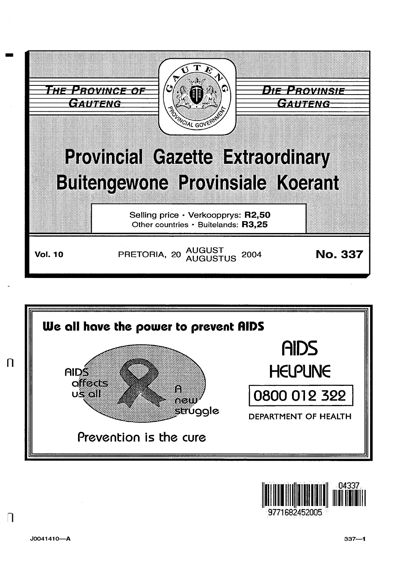





 $\Box$